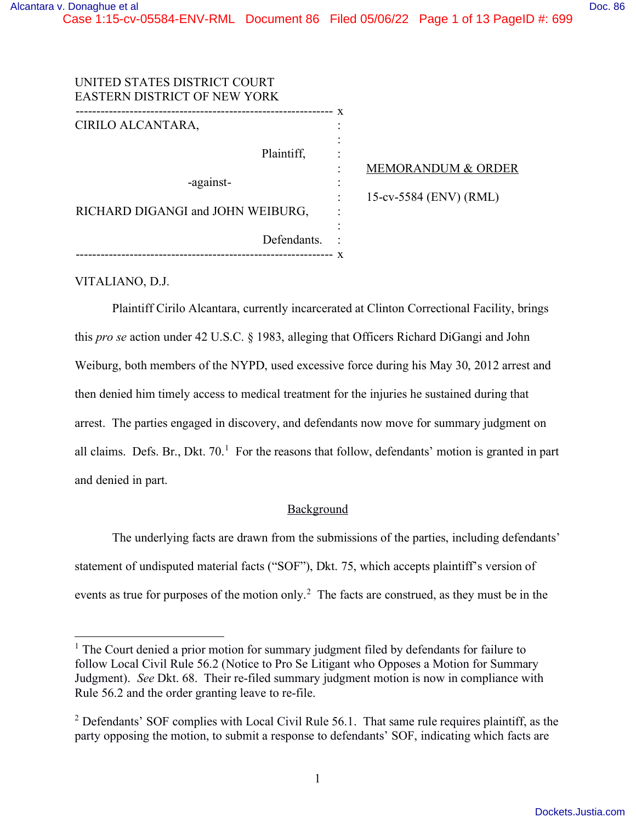| UNITED STATES DISTRICT COURT<br>EASTERN DISTRICT OF NEW YORK |   |                               |
|--------------------------------------------------------------|---|-------------------------------|
| CIRILO ALCANTARA,                                            | X |                               |
|                                                              |   |                               |
| Plaintiff,                                                   |   |                               |
|                                                              |   | <b>MEMORANDUM &amp; ORDER</b> |
| -against-                                                    |   |                               |
|                                                              |   | 15-cv-5584 (ENV) (RML)        |
| RICHARD DIGANGI and JOHN WEIBURG,                            |   |                               |
|                                                              |   |                               |
| Defendants.                                                  |   |                               |
| -----------------                                            | X |                               |

VITALIANO, D.J.

Plaintiff Cirilo Alcantara, currently incarcerated at Clinton Correctional Facility, brings this *pro se* action under 42 U.S.C. § 1983, alleging that Officers Richard DiGangi and John Weiburg, both members of the NYPD, used excessive force during his May 30, 2012 arrest and then denied him timely access to medical treatment for the injuries he sustained during that arrest. The parties engaged in discovery, and defendants now move for summary judgment on all claims. Defs. Br., Dkt.  $70<sup>1</sup>$  $70<sup>1</sup>$  $70<sup>1</sup>$  For the reasons that follow, defendants' motion is granted in part and denied in part.

# **Background**

The underlying facts are drawn from the submissions of the parties, including defendants' statement of undisputed material facts ("SOF"), Dkt. 75, which accepts plaintiff's version of events as true for purposes of the motion only.<sup>[2](#page-0-1)</sup> The facts are construed, as they must be in the

<span id="page-0-0"></span> $<sup>1</sup>$  The Court denied a prior motion for summary judgment filed by defendants for failure to</sup> follow Local Civil Rule 56.2 (Notice to Pro Se Litigant who Opposes a Motion for Summary Judgment). *See* Dkt. 68. Their re-filed summary judgment motion is now in compliance with Rule 56.2 and the order granting leave to re-file.

<span id="page-0-1"></span> $2$  Defendants' SOF complies with Local Civil Rule 56.1. That same rule requires plaintiff, as the party opposing the motion, to submit a response to defendants' SOF, indicating which facts are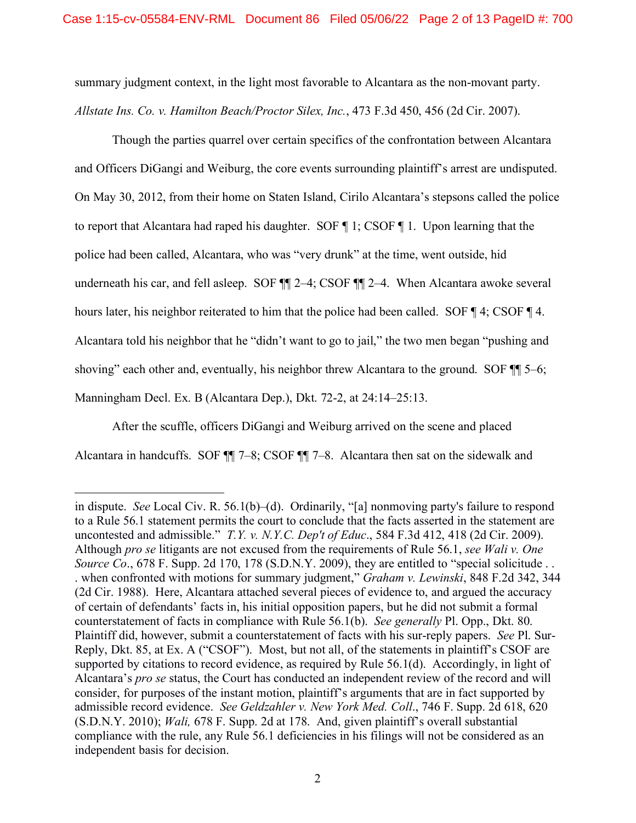summary judgment context, in the light most favorable to Alcantara as the non-movant party. *Allstate Ins. Co. v. Hamilton Beach/Proctor Silex, Inc.*, 473 F.3d 450, 456 (2d Cir. 2007).

Though the parties quarrel over certain specifics of the confrontation between Alcantara and Officers DiGangi and Weiburg, the core events surrounding plaintiff's arrest are undisputed. On May 30, 2012, from their home on Staten Island, Cirilo Alcantara's stepsons called the police to report that Alcantara had raped his daughter. SOF ¶ 1; CSOF ¶ 1. Upon learning that the police had been called, Alcantara, who was "very drunk" at the time, went outside, hid underneath his car, and fell asleep. SOF  $\P$  2–4; CSOF  $\P$  2–4. When Alcantara awoke several hours later, his neighbor reiterated to him that the police had been called. SOF ¶ 4; CSOF ¶ 4. Alcantara told his neighbor that he "didn't want to go to jail," the two men began "pushing and shoving" each other and, eventually, his neighbor threw Alcantara to the ground. SOF  $\P$  5–6; Manningham Decl. Ex. B (Alcantara Dep.), Dkt. 72-2, at 24:14–25:13.

After the scuffle, officers DiGangi and Weiburg arrived on the scene and placed Alcantara in handcuffs. SOF ¶¶ 7–8; CSOF ¶¶ 7–8. Alcantara then sat on the sidewalk and

in dispute. *See* Local Civ. R. 56.1(b)–(d). Ordinarily, "[a] nonmoving party's failure to respond to a Rule 56.1 statement permits the court to conclude that the facts asserted in the statement are uncontested and admissible." *T.Y. v. N.Y.C. Dep't of Educ*., 584 F.3d 412, 418 (2d Cir. 2009). Although *pro se* litigants are not excused from the requirements of Rule 56.1, *see Wali v. One Source Co.*, 678 F. Supp. 2d 170, 178 (S.D.N.Y. 2009), they are entitled to "special solicitude . . . when confronted with motions for summary judgment," *Graham v. Lewinski*, 848 F.2d 342, 344 (2d Cir. 1988). Here, Alcantara attached several pieces of evidence to, and argued the accuracy of certain of defendants' facts in, his initial opposition papers, but he did not submit a formal counterstatement of facts in compliance with Rule 56.1(b). *See generally* Pl. Opp., Dkt. 80. Plaintiff did, however, submit a counterstatement of facts with his sur-reply papers. *See* Pl. Sur-Reply, Dkt. 85, at Ex. A ("CSOF"). Most, but not all, of the statements in plaintiff's CSOF are supported by citations to record evidence, as required by Rule 56.1(d). Accordingly, in light of Alcantara's *pro se* status, the Court has conducted an independent review of the record and will consider, for purposes of the instant motion, plaintiff's arguments that are in fact supported by admissible record evidence. *See Geldzahler v. New York Med. Coll*., 746 F. Supp. 2d 618, 620 (S.D.N.Y. 2010); *Wali,* 678 F. Supp. 2d at 178. And, given plaintiff's overall substantial compliance with the rule, any Rule 56.1 deficiencies in his filings will not be considered as an independent basis for decision.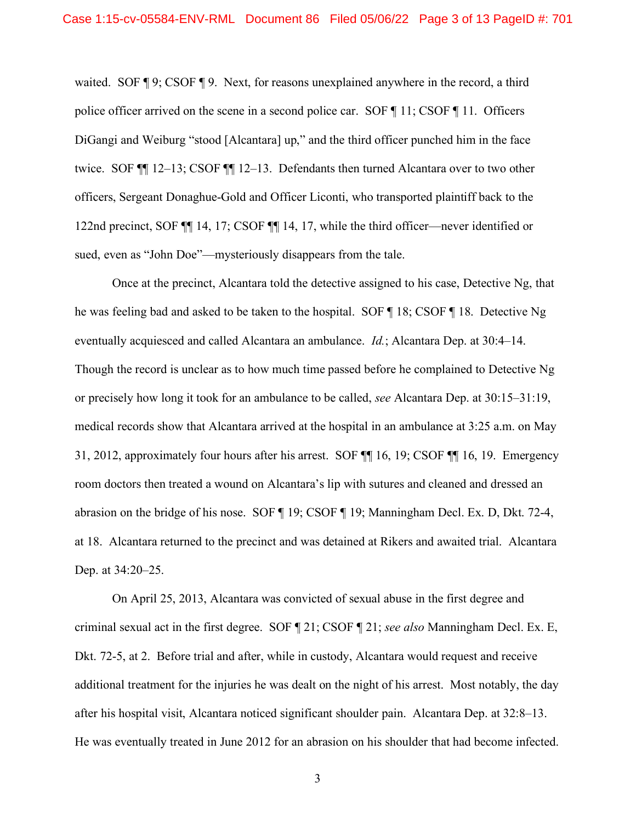waited. SOF  $\P$  9; CSOF  $\P$  9. Next, for reasons unexplained anywhere in the record, a third police officer arrived on the scene in a second police car. SOF ¶ 11; CSOF ¶ 11. Officers DiGangi and Weiburg "stood [Alcantara] up," and the third officer punched him in the face twice. SOF ¶¶ 12–13; CSOF ¶¶ 12–13. Defendants then turned Alcantara over to two other officers, Sergeant Donaghue-Gold and Officer Liconti, who transported plaintiff back to the 122nd precinct, SOF ¶¶ 14, 17; CSOF ¶¶ 14, 17, while the third officer—never identified or sued, even as "John Doe"—mysteriously disappears from the tale.

Once at the precinct, Alcantara told the detective assigned to his case, Detective Ng, that he was feeling bad and asked to be taken to the hospital. SOF ¶ 18; CSOF ¶ 18. Detective Ng eventually acquiesced and called Alcantara an ambulance. *Id.*; Alcantara Dep. at 30:4–14. Though the record is unclear as to how much time passed before he complained to Detective Ng or precisely how long it took for an ambulance to be called, *see* Alcantara Dep. at 30:15–31:19, medical records show that Alcantara arrived at the hospital in an ambulance at 3:25 a.m. on May 31, 2012, approximately four hours after his arrest. SOF ¶¶ 16, 19; CSOF ¶¶ 16, 19. Emergency room doctors then treated a wound on Alcantara's lip with sutures and cleaned and dressed an abrasion on the bridge of his nose. SOF ¶ 19; CSOF ¶ 19; Manningham Decl. Ex. D, Dkt. 72-4, at 18. Alcantara returned to the precinct and was detained at Rikers and awaited trial. Alcantara Dep. at 34:20–25.

On April 25, 2013, Alcantara was convicted of sexual abuse in the first degree and criminal sexual act in the first degree. SOF ¶ 21; CSOF ¶ 21; *see also* Manningham Decl. Ex. E, Dkt. 72-5, at 2. Before trial and after, while in custody, Alcantara would request and receive additional treatment for the injuries he was dealt on the night of his arrest. Most notably, the day after his hospital visit, Alcantara noticed significant shoulder pain. Alcantara Dep. at 32:8–13. He was eventually treated in June 2012 for an abrasion on his shoulder that had become infected.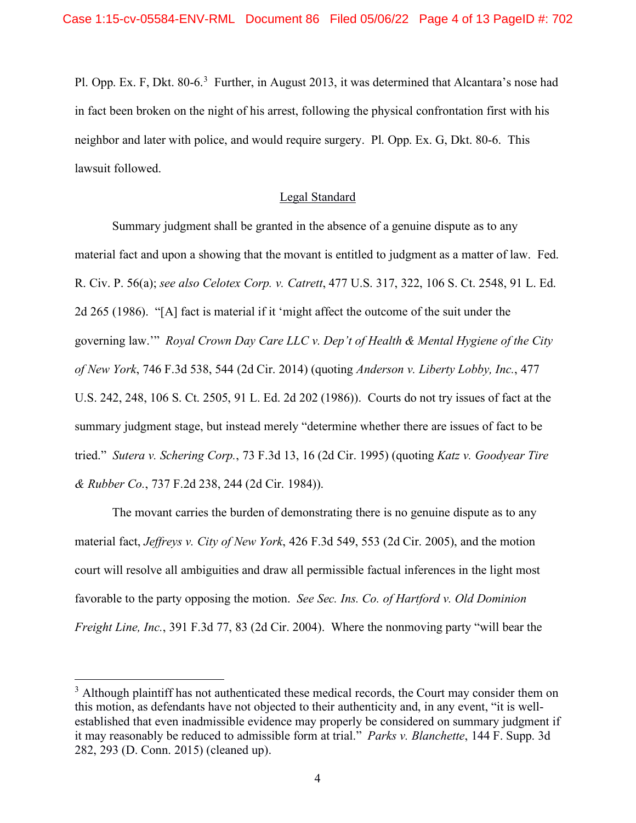Pl. Opp. Ex. F, Dkt. 80-6.<sup>[3](#page-3-0)</sup> Further, in August 2013, it was determined that Alcantara's nose had in fact been broken on the night of his arrest, following the physical confrontation first with his neighbor and later with police, and would require surgery. Pl. Opp. Ex. G, Dkt. 80-6. This lawsuit followed.

## Legal Standard

Summary judgment shall be granted in the absence of a genuine dispute as to any material fact and upon a showing that the movant is entitled to judgment as a matter of law. Fed. R. Civ. P. 56(a); *see also Celotex Corp. v. Catrett*, 477 U.S. 317, 322, 106 S. Ct. 2548, 91 L. Ed. 2d 265 (1986). "[A] fact is material if it 'might affect the outcome of the suit under the governing law.'" *Royal Crown Day Care LLC v. Dep't of Health & Mental Hygiene of the City of New York*, 746 F.3d 538, 544 (2d Cir. 2014) (quoting *Anderson v. Liberty Lobby, Inc.*, 477 U.S. 242, 248, 106 S. Ct. 2505, 91 L. Ed. 2d 202 (1986)). Courts do not try issues of fact at the summary judgment stage, but instead merely "determine whether there are issues of fact to be tried." *Sutera v. Schering Corp.*, 73 F.3d 13, 16 (2d Cir. 1995) (quoting *Katz v. Goodyear Tire & Rubber Co.*, 737 F.2d 238, 244 (2d Cir. 1984)).

The movant carries the burden of demonstrating there is no genuine dispute as to any material fact, *Jeffreys v. City of New York*, 426 F.3d 549, 553 (2d Cir. 2005), and the motion court will resolve all ambiguities and draw all permissible factual inferences in the light most favorable to the party opposing the motion. *See Sec. Ins. Co. of Hartford v. Old Dominion Freight Line, Inc.*, 391 F.3d 77, 83 (2d Cir. 2004). Where the nonmoving party "will bear the

<span id="page-3-0"></span> $3$  Although plaintiff has not authenticated these medical records, the Court may consider them on this motion, as defendants have not objected to their authenticity and, in any event, "it is wellestablished that even inadmissible evidence may properly be considered on summary judgment if it may reasonably be reduced to admissible form at trial." *Parks v. Blanchette*, 144 F. Supp. 3d 282, 293 (D. Conn. 2015) (cleaned up).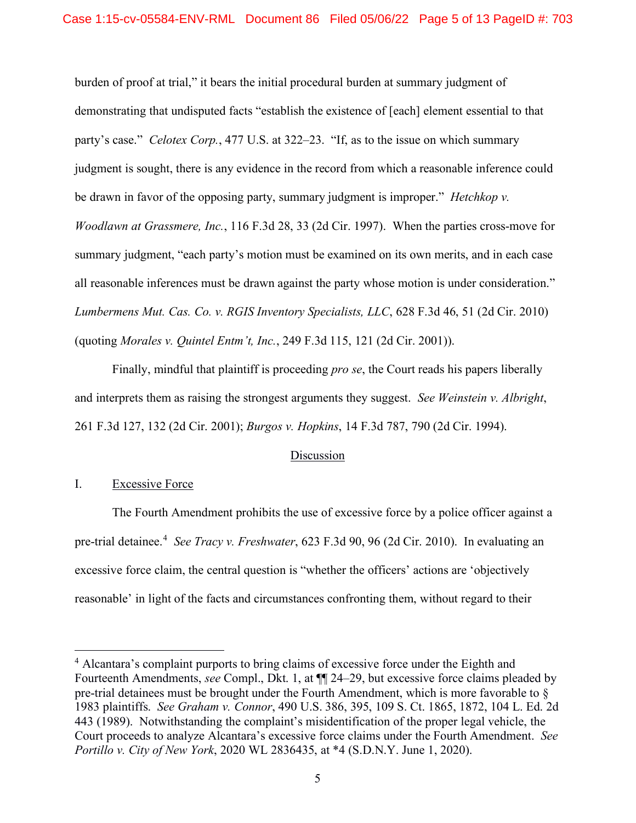burden of proof at trial," it bears the initial procedural burden at summary judgment of demonstrating that undisputed facts "establish the existence of [each] element essential to that party's case." *Celotex Corp.*, 477 U.S. at 322–23. "If, as to the issue on which summary judgment is sought, there is any evidence in the record from which a reasonable inference could be drawn in favor of the opposing party, summary judgment is improper." *Hetchkop v. Woodlawn at Grassmere, Inc.*, 116 F.3d 28, 33 (2d Cir. 1997). When the parties cross-move for summary judgment, "each party's motion must be examined on its own merits, and in each case all reasonable inferences must be drawn against the party whose motion is under consideration." *Lumbermens Mut. Cas. Co. v. RGIS Inventory Specialists, LLC*, 628 F.3d 46, 51 (2d Cir. 2010) (quoting *Morales v. Quintel Entm't, Inc.*, 249 F.3d 115, 121 (2d Cir. 2001)).

Finally, mindful that plaintiff is proceeding *pro se*, the Court reads his papers liberally and interprets them as raising the strongest arguments they suggest. *See Weinstein v. Albright*, 261 F.3d 127, 132 (2d Cir. 2001); *Burgos v. Hopkins*, 14 F.3d 787, 790 (2d Cir. 1994).

### Discussion

## I. Excessive Force

The Fourth Amendment prohibits the use of excessive force by a police officer against a pre-trial detainee. [4](#page-4-0) *See Tracy v. Freshwater*, 623 F.3d 90, 96 (2d Cir. 2010). In evaluating an excessive force claim, the central question is "whether the officers' actions are 'objectively reasonable' in light of the facts and circumstances confronting them, without regard to their

<span id="page-4-0"></span><sup>&</sup>lt;sup>4</sup> Alcantara's complaint purports to bring claims of excessive force under the Eighth and Fourteenth Amendments, *see* Compl., Dkt. 1, at ¶¶ 24–29, but excessive force claims pleaded by pre-trial detainees must be brought under the Fourth Amendment, which is more favorable to § 1983 plaintiffs. *See Graham v. Connor*, 490 U.S. 386, 395, 109 S. Ct. 1865, 1872, 104 L. Ed. 2d 443 (1989). Notwithstanding the complaint's misidentification of the proper legal vehicle, the Court proceeds to analyze Alcantara's excessive force claims under the Fourth Amendment. *See Portillo v. City of New York*, 2020 WL 2836435, at \*4 (S.D.N.Y. June 1, 2020).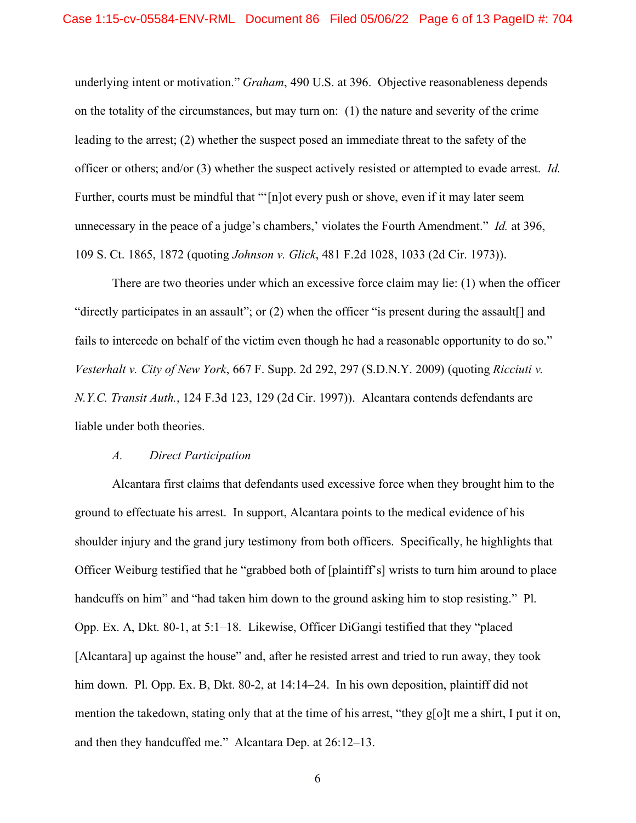underlying intent or motivation." *Graham*, 490 U.S. at 396. Objective reasonableness depends on the totality of the circumstances, but may turn on: (1) the nature and severity of the crime leading to the arrest; (2) whether the suspect posed an immediate threat to the safety of the officer or others; and/or (3) whether the suspect actively resisted or attempted to evade arrest. *Id.* Further, courts must be mindful that "'[n]ot every push or shove, even if it may later seem unnecessary in the peace of a judge's chambers,' violates the Fourth Amendment." *Id.* at 396, 109 S. Ct. 1865, 1872 (quoting *Johnson v. Glick*, 481 F.2d 1028, 1033 (2d Cir. 1973)).

There are two theories under which an excessive force claim may lie: (1) when the officer "directly participates in an assault"; or (2) when the officer "is present during the assault[] and fails to intercede on behalf of the victim even though he had a reasonable opportunity to do so." *Vesterhalt v. City of New York*, 667 F. Supp. 2d 292, 297 (S.D.N.Y. 2009) (quoting *Ricciuti v. N.Y.C. Transit Auth.*, 124 F.3d 123, 129 (2d Cir. 1997)). Alcantara contends defendants are liable under both theories.

#### *A. Direct Participation*

Alcantara first claims that defendants used excessive force when they brought him to the ground to effectuate his arrest. In support, Alcantara points to the medical evidence of his shoulder injury and the grand jury testimony from both officers. Specifically, he highlights that Officer Weiburg testified that he "grabbed both of [plaintiff's] wrists to turn him around to place handcuffs on him" and "had taken him down to the ground asking him to stop resisting." Pl. Opp. Ex. A, Dkt. 80-1, at 5:1–18. Likewise, Officer DiGangi testified that they "placed [Alcantara] up against the house" and, after he resisted arrest and tried to run away, they took him down. Pl. Opp. Ex. B, Dkt. 80-2, at 14:14–24. In his own deposition, plaintiff did not mention the takedown, stating only that at the time of his arrest, "they g[o]t me a shirt, I put it on, and then they handcuffed me." Alcantara Dep. at 26:12–13.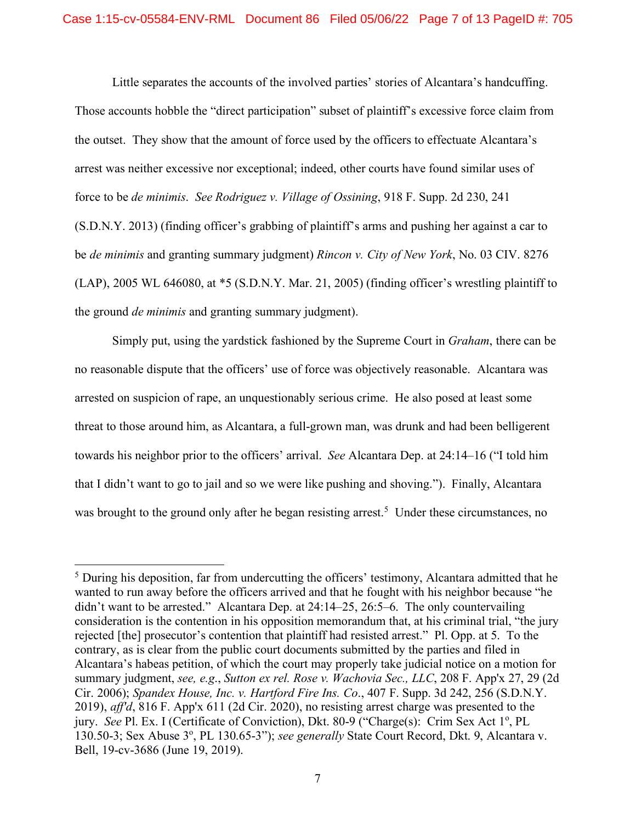Little separates the accounts of the involved parties' stories of Alcantara's handcuffing. Those accounts hobble the "direct participation" subset of plaintiff's excessive force claim from the outset. They show that the amount of force used by the officers to effectuate Alcantara's arrest was neither excessive nor exceptional; indeed, other courts have found similar uses of force to be *de minimis*. *See Rodriguez v. Village of Ossining*, 918 F. Supp. 2d 230, 241 (S.D.N.Y. 2013) (finding officer's grabbing of plaintiff's arms and pushing her against a car to be *de minimis* and granting summary judgment) *Rincon v. City of New York*, No. 03 CIV. 8276 (LAP), 2005 WL 646080, at \*5 (S.D.N.Y. Mar. 21, 2005) (finding officer's wrestling plaintiff to the ground *de minimis* and granting summary judgment).

Simply put, using the yardstick fashioned by the Supreme Court in *Graham*, there can be no reasonable dispute that the officers' use of force was objectively reasonable. Alcantara was arrested on suspicion of rape, an unquestionably serious crime. He also posed at least some threat to those around him, as Alcantara, a full-grown man, was drunk and had been belligerent towards his neighbor prior to the officers' arrival. *See* Alcantara Dep. at 24:14–16 ("I told him that I didn't want to go to jail and so we were like pushing and shoving."). Finally, Alcantara was brought to the ground only after he began resisting arrest.<sup>[5](#page-6-0)</sup> Under these circumstances, no

<span id="page-6-0"></span><sup>&</sup>lt;sup>5</sup> During his deposition, far from undercutting the officers' testimony, Alcantara admitted that he wanted to run away before the officers arrived and that he fought with his neighbor because "he didn't want to be arrested." Alcantara Dep. at 24:14–25, 26:5–6. The only countervailing consideration is the contention in his opposition memorandum that, at his criminal trial, "the jury rejected [the] prosecutor's contention that plaintiff had resisted arrest." Pl. Opp. at 5. To the contrary, as is clear from the public court documents submitted by the parties and filed in Alcantara's habeas petition, of which the court may properly take judicial notice on a motion for summary judgment, *see, e.g*., *Sutton ex rel. Rose v. Wachovia Sec., LLC*, 208 F. App'x 27, 29 (2d Cir. 2006); *Spandex House, Inc. v. Hartford Fire Ins. Co*., 407 F. Supp. 3d 242, 256 (S.D.N.Y. 2019), *aff'd*, 816 F. App'x 611 (2d Cir. 2020), no resisting arrest charge was presented to the jury. See Pl. Ex. I (Certificate of Conviction), Dkt. 80-9 ("Charge(s): Crim Sex Act 1<sup>o</sup>, PL 130.50-3; Sex Abuse 3°, PL 130.65-3"); see generally State Court Record, Dkt. 9, Alcantara v. Bell, 19-cv-3686 (June 19, 2019).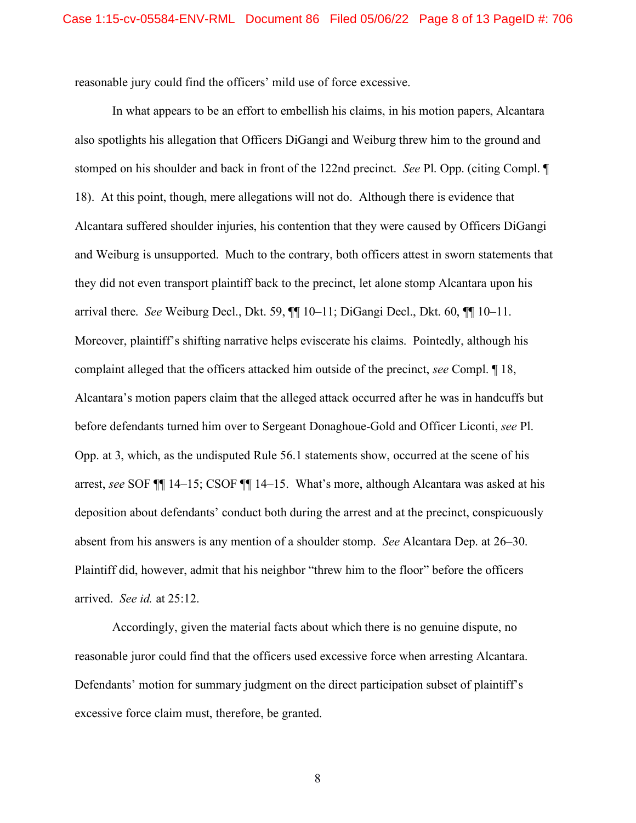reasonable jury could find the officers' mild use of force excessive.

In what appears to be an effort to embellish his claims, in his motion papers, Alcantara also spotlights his allegation that Officers DiGangi and Weiburg threw him to the ground and stomped on his shoulder and back in front of the 122nd precinct. *See* Pl. Opp. (citing Compl. ¶ 18). At this point, though, mere allegations will not do. Although there is evidence that Alcantara suffered shoulder injuries, his contention that they were caused by Officers DiGangi and Weiburg is unsupported. Much to the contrary, both officers attest in sworn statements that they did not even transport plaintiff back to the precinct, let alone stomp Alcantara upon his arrival there. *See* Weiburg Decl., Dkt. 59, ¶¶ 10–11; DiGangi Decl., Dkt. 60, ¶¶ 10–11. Moreover, plaintiff's shifting narrative helps eviscerate his claims. Pointedly, although his complaint alleged that the officers attacked him outside of the precinct, *see* Compl. ¶ 18, Alcantara's motion papers claim that the alleged attack occurred after he was in handcuffs but before defendants turned him over to Sergeant Donaghoue-Gold and Officer Liconti, *see* Pl. Opp. at 3, which, as the undisputed Rule 56.1 statements show, occurred at the scene of his arrest, *see* SOF ¶¶ 14–15; CSOF ¶¶ 14–15. What's more, although Alcantara was asked at his deposition about defendants' conduct both during the arrest and at the precinct, conspicuously absent from his answers is any mention of a shoulder stomp. *See* Alcantara Dep. at 26–30. Plaintiff did, however, admit that his neighbor "threw him to the floor" before the officers arrived. *See id.* at 25:12.

Accordingly, given the material facts about which there is no genuine dispute, no reasonable juror could find that the officers used excessive force when arresting Alcantara. Defendants' motion for summary judgment on the direct participation subset of plaintiff's excessive force claim must, therefore, be granted.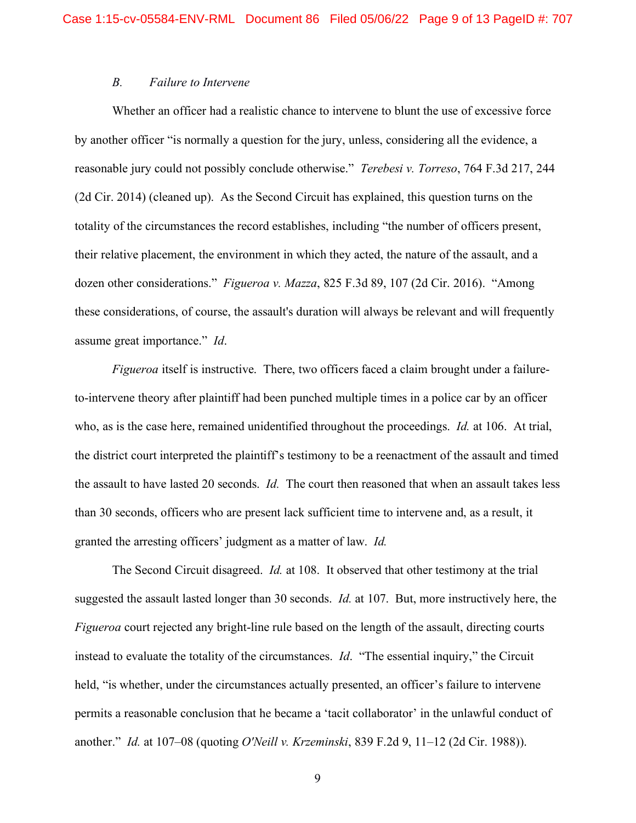### *B. Failure to Intervene*

Whether an officer had a realistic chance to intervene to blunt the use of excessive force by another officer "is normally a question for the jury, unless, considering all the evidence, a reasonable jury could not possibly conclude otherwise." *Terebesi v. Torreso*, 764 F.3d 217, 244 (2d Cir. 2014) (cleaned up). As the Second Circuit has explained, this question turns on the totality of the circumstances the record establishes, including "the number of officers present, their relative placement, the environment in which they acted, the nature of the assault, and a dozen other considerations." *Figueroa v. Mazza*, 825 F.3d 89, 107 (2d Cir. 2016). "Among these considerations, of course, the assault's duration will always be relevant and will frequently assume great importance." *Id*.

*Figueroa* itself is instructive. There, two officers faced a claim brought under a failureto-intervene theory after plaintiff had been punched multiple times in a police car by an officer who, as is the case here, remained unidentified throughout the proceedings. *Id.* at 106. At trial, the district court interpreted the plaintiff's testimony to be a reenactment of the assault and timed the assault to have lasted 20 seconds. *Id.* The court then reasoned that when an assault takes less than 30 seconds, officers who are present lack sufficient time to intervene and, as a result, it granted the arresting officers' judgment as a matter of law. *Id.*

The Second Circuit disagreed. *Id.* at 108. It observed that other testimony at the trial suggested the assault lasted longer than 30 seconds. *Id.* at 107. But, more instructively here, the *Figueroa* court rejected any bright-line rule based on the length of the assault, directing courts instead to evaluate the totality of the circumstances. *Id*. "The essential inquiry," the Circuit held, "is whether, under the circumstances actually presented, an officer's failure to intervene permits a reasonable conclusion that he became a 'tacit collaborator' in the unlawful conduct of another." *Id.* at 107–08 (quoting *O'Neill v. Krzeminski*, 839 F.2d 9, 11–12 (2d Cir. 1988)).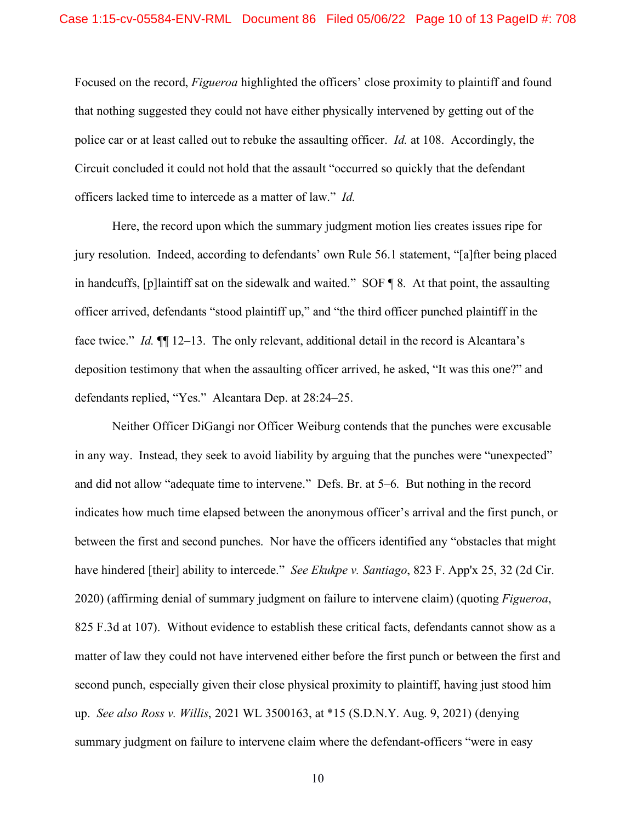Focused on the record, *Figueroa* highlighted the officers' close proximity to plaintiff and found that nothing suggested they could not have either physically intervened by getting out of the police car or at least called out to rebuke the assaulting officer. *Id.* at 108. Accordingly, the Circuit concluded it could not hold that the assault "occurred so quickly that the defendant officers lacked time to intercede as a matter of law." *Id.* 

Here, the record upon which the summary judgment motion lies creates issues ripe for jury resolution. Indeed, according to defendants' own Rule 56.1 statement, "[a]fter being placed in handcuffs, [p]laintiff sat on the sidewalk and waited." SOF ¶ 8. At that point, the assaulting officer arrived, defendants "stood plaintiff up," and "the third officer punched plaintiff in the face twice." *Id.* ¶¶ 12–13. The only relevant, additional detail in the record is Alcantara's deposition testimony that when the assaulting officer arrived, he asked, "It was this one?" and defendants replied, "Yes." Alcantara Dep. at 28:24–25.

Neither Officer DiGangi nor Officer Weiburg contends that the punches were excusable in any way. Instead, they seek to avoid liability by arguing that the punches were "unexpected" and did not allow "adequate time to intervene." Defs. Br. at 5–6. But nothing in the record indicates how much time elapsed between the anonymous officer's arrival and the first punch, or between the first and second punches. Nor have the officers identified any "obstacles that might have hindered [their] ability to intercede." *See Ekukpe v. Santiago*, 823 F. App'x 25, 32 (2d Cir. 2020) (affirming denial of summary judgment on failure to intervene claim) (quoting *Figueroa*, 825 F.3d at 107). Without evidence to establish these critical facts, defendants cannot show as a matter of law they could not have intervened either before the first punch or between the first and second punch, especially given their close physical proximity to plaintiff, having just stood him up. *See also Ross v. Willis*, 2021 WL 3500163, at \*15 (S.D.N.Y. Aug. 9, 2021) (denying summary judgment on failure to intervene claim where the defendant-officers "were in easy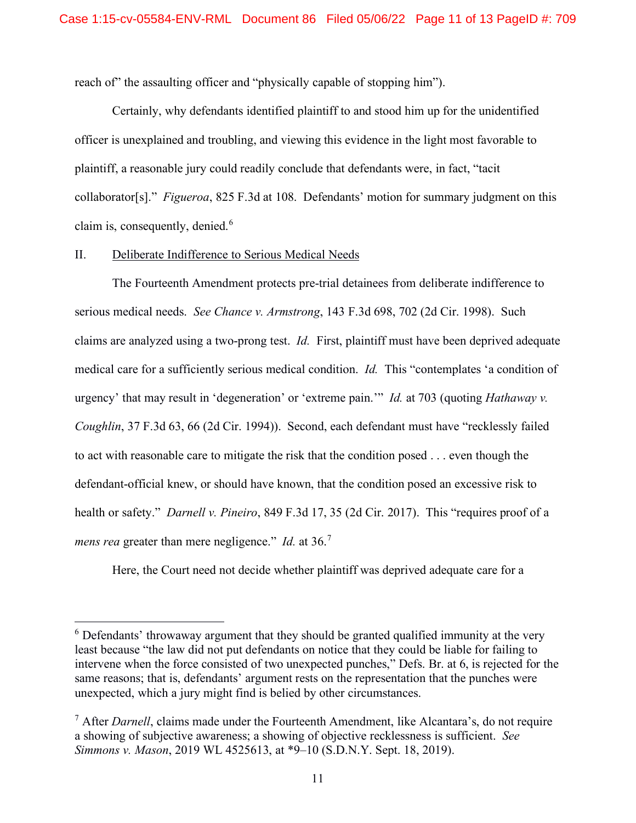reach of" the assaulting officer and "physically capable of stopping him").

Certainly, why defendants identified plaintiff to and stood him up for the unidentified officer is unexplained and troubling, and viewing this evidence in the light most favorable to plaintiff, a reasonable jury could readily conclude that defendants were, in fact, "tacit collaborator[s]." *Figueroa*, 825 F.3d at 108. Defendants' motion for summary judgment on this claim is, consequently, denied.<sup>[6](#page-10-0)</sup>

### II. Deliberate Indifference to Serious Medical Needs

The Fourteenth Amendment protects pre-trial detainees from deliberate indifference to serious medical needs. *See Chance v. Armstrong*, 143 F.3d 698, 702 (2d Cir. 1998). Such claims are analyzed using a two-prong test. *Id.* First, plaintiff must have been deprived adequate medical care for a sufficiently serious medical condition. *Id.* This "contemplates 'a condition of urgency' that may result in 'degeneration' or 'extreme pain.'" *Id.* at 703 (quoting *Hathaway v. Coughlin*, 37 F.3d 63, 66 (2d Cir. 1994)). Second, each defendant must have "recklessly failed to act with reasonable care to mitigate the risk that the condition posed . . . even though the defendant-official knew, or should have known, that the condition posed an excessive risk to health or safety." *Darnell v. Pineiro*, 849 F.3d 17, 35 (2d Cir. 2017). This "requires proof of a *mens rea* greater than mere negligence." *Id.* at 36.<sup>[7](#page-10-1)</sup>

Here, the Court need not decide whether plaintiff was deprived adequate care for a

<span id="page-10-0"></span> $6$  Defendants' throwaway argument that they should be granted qualified immunity at the very least because "the law did not put defendants on notice that they could be liable for failing to intervene when the force consisted of two unexpected punches," Defs. Br. at 6, is rejected for the same reasons; that is, defendants' argument rests on the representation that the punches were unexpected, which a jury might find is belied by other circumstances.

<span id="page-10-1"></span><sup>7</sup> After *Darnell*, claims made under the Fourteenth Amendment, like Alcantara's, do not require a showing of subjective awareness; a showing of objective recklessness is sufficient. *See Simmons v. Mason*, 2019 WL 4525613, at \*9–10 (S.D.N.Y. Sept. 18, 2019).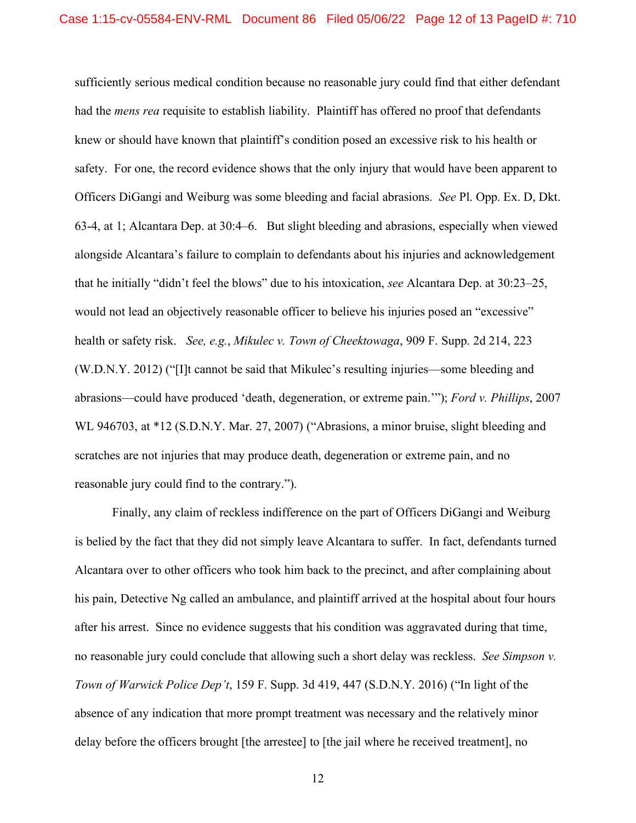sufficiently serious medical condition because no reasonable jury could find that either defendant had the *mens rea* requisite to establish liability. Plaintiff has offered no proof that defendants knew or should have known that plaintiff's condition posed an excessive risk to his health or safety. For one, the record evidence shows that the only injury that would have been apparent to Officers DiGangi and Weiburg was some bleeding and facial abrasions. *See* Pl. Opp. Ex. D, Dkt. 63-4, at 1; Alcantara Dep. at 30:4–6. But slight bleeding and abrasions, especially when viewed alongside Alcantara's failure to complain to defendants about his injuries and acknowledgement that he initially "didn't feel the blows" due to his intoxication, *see* Alcantara Dep. at 30:23–25, would not lead an objectively reasonable officer to believe his injuries posed an "excessive" health or safety risk. *See, e.g.*, *Mikulec v. Town of Cheektowaga*, 909 F. Supp. 2d 214, 223 (W.D.N.Y. 2012) ("[I]t cannot be said that Mikulec's resulting injuries—some bleeding and abrasions—could have produced 'death, degeneration, or extreme pain.'"); *Ford v. Phillips*, 2007 WL 946703, at \*12 (S.D.N.Y. Mar. 27, 2007) ("Abrasions, a minor bruise, slight bleeding and scratches are not injuries that may produce death, degeneration or extreme pain, and no reasonable jury could find to the contrary.").

Finally, any claim of reckless indifference on the part of Officers DiGangi and Weiburg is belied by the fact that they did not simply leave Alcantara to suffer. In fact, defendants turned Alcantara over to other officers who took him back to the precinct, and after complaining about his pain, Detective Ng called an ambulance, and plaintiff arrived at the hospital about four hours after his arrest. Since no evidence suggests that his condition was aggravated during that time, no reasonable jury could conclude that allowing such a short delay was reckless. *See Simpson v. Town of Warwick Police Dep't*, 159 F. Supp. 3d 419, 447 (S.D.N.Y. 2016) ("In light of the absence of any indication that more prompt treatment was necessary and the relatively minor delay before the officers brought [the arrestee] to [the jail where he received treatment], no